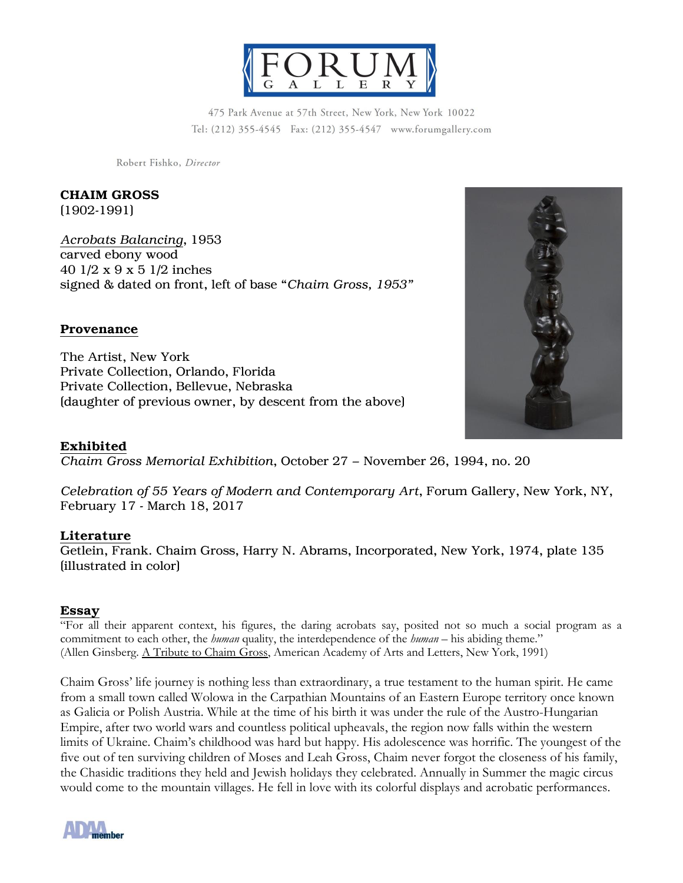

475 Park Avenue at 57th Street, New York, New York 10022 Tel: (212) 355-4545 Fax: (212) 355-4547 www.forumgallery.com

Robert Fishko, Director

CHAIM GROSS

(1902-1991)

*Acrobats Balancing*, 1953 carved ebony wood 40 1/2 x 9 x 5 1/2 inches signed & dated on front, left of base "*Chaim Gross, 1953"*

## Provenance

The Artist, New York Private Collection, Orlando, Florida Private Collection, Bellevue, Nebraska (daughter of previous owner, by descent from the above)

## Exhibited

*Chaim Gross Memorial Exhibition*, October 27 – November 26, 1994, no. 20

*Celebration of 55 Years of Modern and Contemporary Art*, Forum Gallery, New York, NY, February 17 - March 18, 2017

## Literature

Getlein, Frank. Chaim Gross, Harry N. Abrams, Incorporated, New York, 1974, plate 135 (illustrated in color)

## Essay

"For all their apparent context, his figures, the daring acrobats say, posited not so much a social program as a commitment to each other, the *human* quality, the interdependence of the *human* – his abiding theme." (Allen Ginsberg. A Tribute to Chaim Gross, American Academy of Arts and Letters, New York, 1991)

Chaim Gross' life journey is nothing less than extraordinary, a true testament to the human spirit. He came from a small town called Wolowa in the Carpathian Mountains of an Eastern Europe territory once known as Galicia or Polish Austria. While at the time of his birth it was under the rule of the Austro-Hungarian Empire, after two world wars and countless political upheavals, the region now falls within the western limits of Ukraine. Chaim's childhood was hard but happy. His adolescence was horrific. The youngest of the five out of ten surviving children of Moses and Leah Gross, Chaim never forgot the closeness of his family, the Chasidic traditions they held and Jewish holidays they celebrated. Annually in Summer the magic circus would come to the mountain villages. He fell in love with its colorful displays and acrobatic performances.



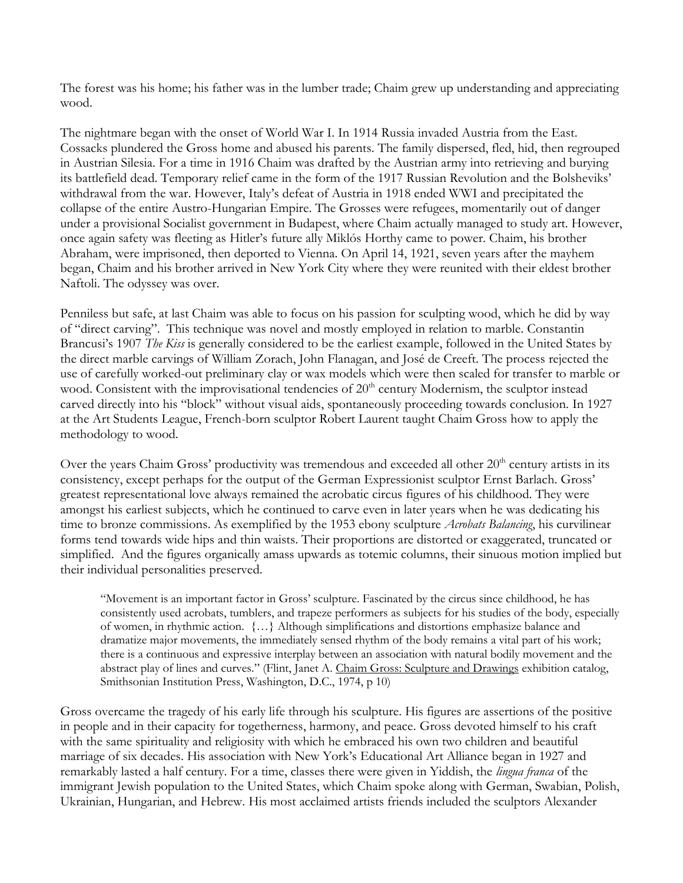The forest was his home; his father was in the lumber trade; Chaim grew up understanding and appreciating wood.

The nightmare began with the onset of World War I. In 1914 Russia invaded Austria from the East. Cossacks plundered the Gross home and abused his parents. The family dispersed, fled, hid, then regrouped in Austrian Silesia. For a time in 1916 Chaim was drafted by the Austrian army into retrieving and burying its battlefield dead. Temporary relief came in the form of the 1917 Russian Revolution and the Bolsheviks' withdrawal from the war. However, Italy's defeat of Austria in 1918 ended WWI and precipitated the collapse of the entire Austro-Hungarian Empire. The Grosses were refugees, momentarily out of danger under a provisional Socialist government in Budapest, where Chaim actually managed to study art. However, once again safety was fleeting as Hitler's future ally Miklós Horthy came to power. Chaim, his brother Abraham, were imprisoned, then deported to Vienna. On April 14, 1921, seven years after the mayhem began, Chaim and his brother arrived in New York City where they were reunited with their eldest brother Naftoli. The odyssey was over.

Penniless but safe, at last Chaim was able to focus on his passion for sculpting wood, which he did by way of "direct carving". This technique was novel and mostly employed in relation to marble. Constantin Brancusi's 1907 *The Kiss* is generally considered to be the earliest example, followed in the United States by the direct marble carvings of William Zorach, John Flanagan, and José de Creeft. The process rejected the use of carefully worked-out preliminary clay or wax models which were then scaled for transfer to marble or wood. Consistent with the improvisational tendencies of 20<sup>th</sup> century Modernism, the sculptor instead carved directly into his "block" without visual aids, spontaneously proceeding towards conclusion. In 1927 at the Art Students League, French-born sculptor Robert Laurent taught Chaim Gross how to apply the methodology to wood.

Over the years Chaim Gross' productivity was tremendous and exceeded all other  $20<sup>th</sup>$  century artists in its consistency, except perhaps for the output of the German Expressionist sculptor Ernst Barlach. Gross' greatest representational love always remained the acrobatic circus figures of his childhood. They were amongst his earliest subjects, which he continued to carve even in later years when he was dedicating his time to bronze commissions. As exemplified by the 1953 ebony sculpture *Acrobats Balancing*, his curvilinear forms tend towards wide hips and thin waists. Their proportions are distorted or exaggerated, truncated or simplified. And the figures organically amass upwards as totemic columns, their sinuous motion implied but their individual personalities preserved.

"Movement is an important factor in Gross' sculpture. Fascinated by the circus since childhood, he has consistently used acrobats, tumblers, and trapeze performers as subjects for his studies of the body, especially of women, in rhythmic action. {…} Although simplifications and distortions emphasize balance and dramatize major movements, the immediately sensed rhythm of the body remains a vital part of his work; there is a continuous and expressive interplay between an association with natural bodily movement and the abstract play of lines and curves." (Flint, Janet A. Chaim Gross: Sculpture and Drawings exhibition catalog, Smithsonian Institution Press, Washington, D.C., 1974, p 10)

Gross overcame the tragedy of his early life through his sculpture. His figures are assertions of the positive in people and in their capacity for togetherness, harmony, and peace. Gross devoted himself to his craft with the same spirituality and religiosity with which he embraced his own two children and beautiful marriage of six decades. His association with New York's Educational Art Alliance began in 1927 and remarkably lasted a half century. For a time, classes there were given in Yiddish, the *lingua franca* of the immigrant Jewish population to the United States, which Chaim spoke along with German, Swabian, Polish, Ukrainian, Hungarian, and Hebrew. His most acclaimed artists friends included the sculptors Alexander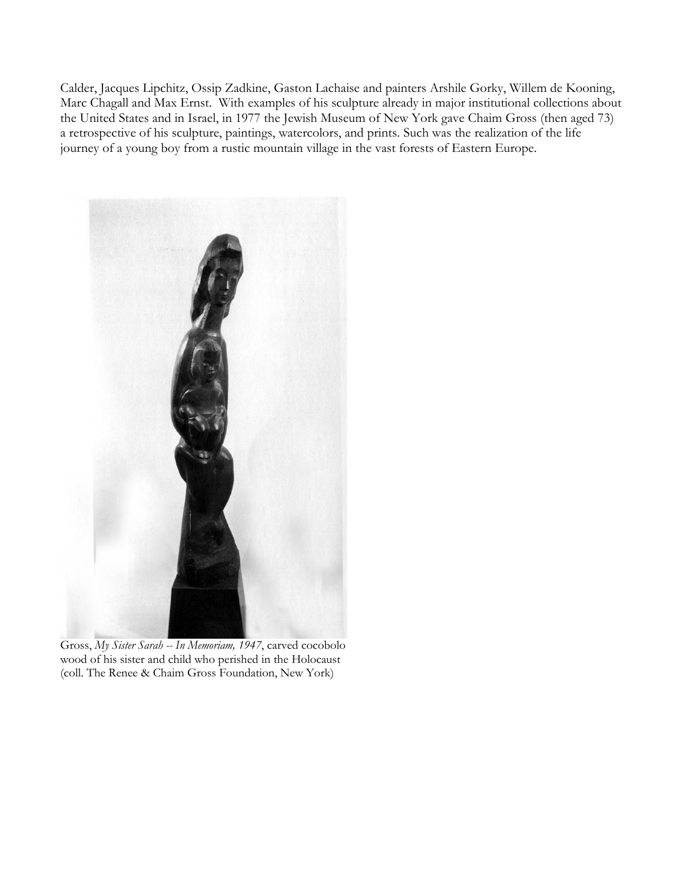Calder, Jacques Lipchitz, Ossip Zadkine, Gaston Lachaise and painters Arshile Gorky, Willem de Kooning, Marc Chagall and Max Ernst. With examples of his sculpture already in major institutional collections about the United States and in Israel, in 1977 the Jewish Museum of New York gave Chaim Gross (then aged 73) a retrospective of his sculpture, paintings, watercolors, and prints. Such was the realization of the life journey of a young boy from a rustic mountain village in the vast forests of Eastern Europe.



Gross, *My Sister Sarah -- In Memoriam, 1947*, carved cocobolo wood of his sister and child who perished in the Holocaust (coll. The Renee & Chaim Gross Foundation, New York)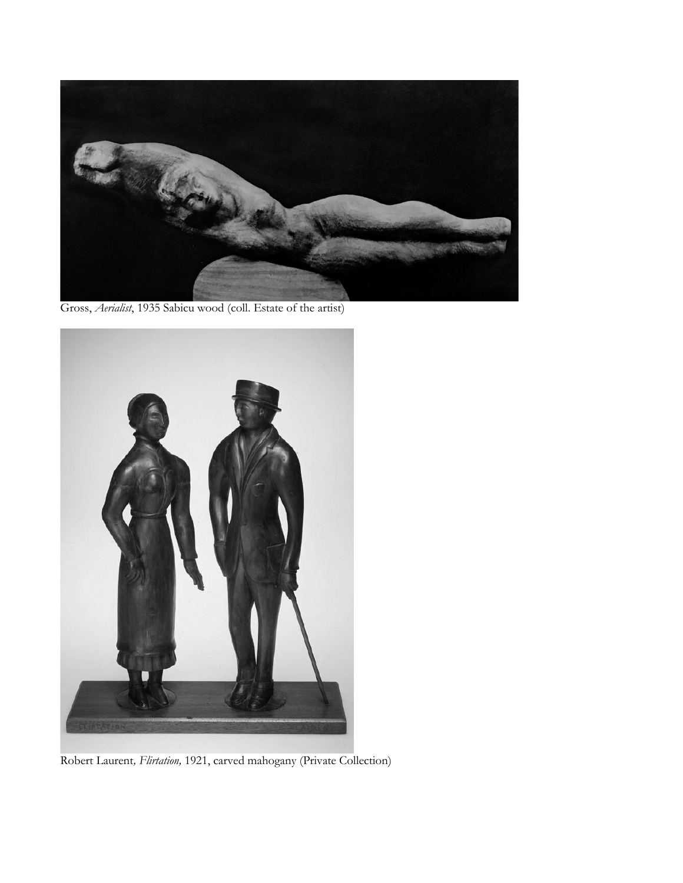

Gross, *Aerialist*, 1935 Sabicu wood (coll. Estate of the artist)



Robert Laurent*, Flirtation,* 1921, carved mahogany (Private Collection)